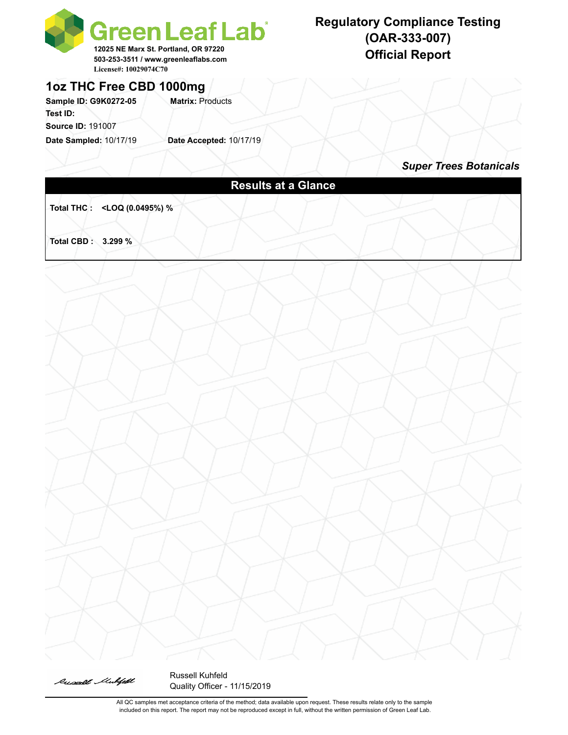

# **Regulatory Compliance Testing (OAR-333-007)**

### **1oz THC Free CBD 1000mg**

Sample ID: G9K0272-05 **Matrix: Products Test ID: Source ID:** 191007

**Date Sampled:** 10/17/19 **Date Accepted:** 10/17/19

# *Super Trees Botanicals* **Results at a Glance Total THC : <LOQ (0.0495%) % Total CBD : 3.299 %**



Russell Kuhfeld Quality Officer - 11/15/2019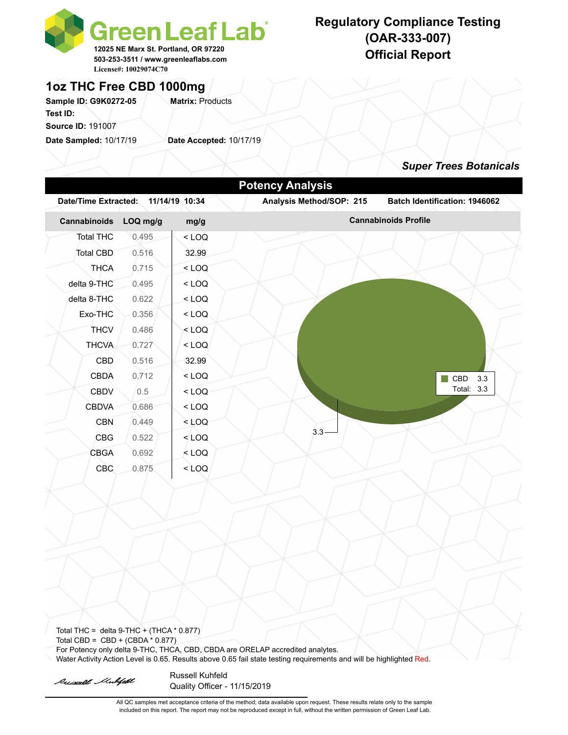

# **Regulatory Compliance Testing (OAR-333-007)**

## **1oz THC Free CBD 1000mg**

Sample ID: G9K0272-05 Matrix: Products **Test ID:** 

**Source ID:** 191007

**Date Sampled:** 10/17/19 **Date Accepted:** 10/17/19

### *Super Trees Botanicals*



Total THC = delta  $9$ -THC + (THCA  $*$  0.877) Total CBD =  $CBD + (CBDA * 0.877)$ For Potency only delta 9-THC, THCA, CBD, CBDA are ORELAP accredited analytes. Water Activity Action Level is 0.65. Results above 0.65 fail state testing requirements and will be highlighted Red.

Russell Mulfell

Russell Kuhfeld Quality Officer - 11/15/2019